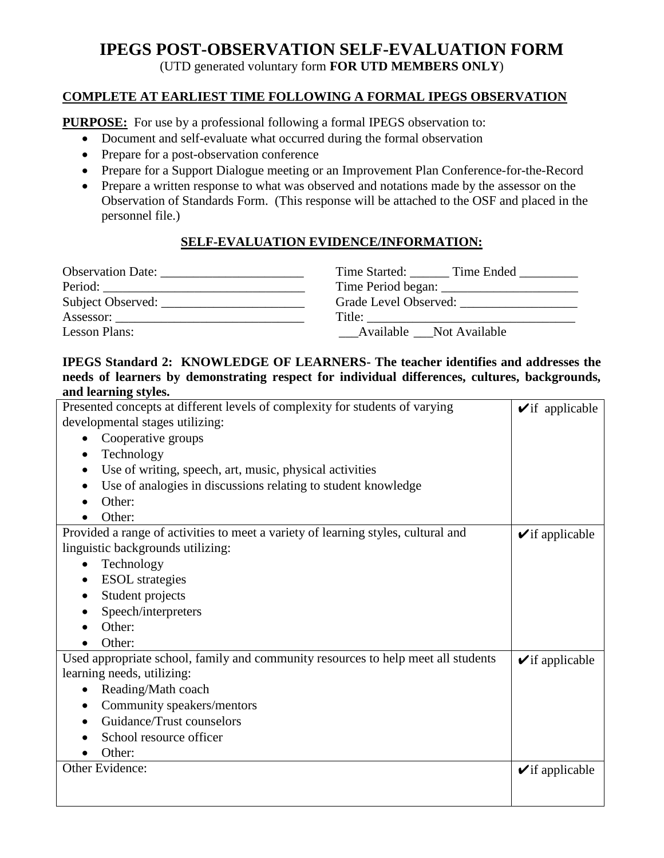# **IPEGS POST-OBSERVATION SELF-EVALUATION FORM**

(UTD generated voluntary form **FOR UTD MEMBERS ONLY**)

## **COMPLETE AT EARLIEST TIME FOLLOWING A FORMAL IPEGS OBSERVATION**

**PURPOSE:** For use by a professional following a formal IPEGS observation to:

- Document and self-evaluate what occurred during the formal observation
- Prepare for a post-observation conference
- Prepare for a Support Dialogue meeting or an Improvement Plan Conference-for-the-Record
- Prepare a written response to what was observed and notations made by the assessor on the Observation of Standards Form. (This response will be attached to the OSF and placed in the personnel file.)

# **SELF-EVALUATION EVIDENCE/INFORMATION:**

|                      | Time Started: Time Ended |
|----------------------|--------------------------|
| Period:              |                          |
| Subject Observed:    |                          |
| Assessor:            | Title:                   |
| <b>Lesson Plans:</b> | Available Not Available  |

#### **IPEGS Standard 2: KNOWLEDGE OF LEARNERS- The teacher identifies and addresses the needs of learners by demonstrating respect for individual differences, cultures, backgrounds, and learning styles.**

| Presented concepts at different levels of complexity for students of varying      | $\blacktriangleright$ if applicable |
|-----------------------------------------------------------------------------------|-------------------------------------|
| developmental stages utilizing:                                                   |                                     |
| Cooperative groups                                                                |                                     |
| Technology                                                                        |                                     |
| Use of writing, speech, art, music, physical activities                           |                                     |
| Use of analogies in discussions relating to student knowledge<br>٠                |                                     |
| Other:                                                                            |                                     |
| Other:                                                                            |                                     |
| Provided a range of activities to meet a variety of learning styles, cultural and | $\checkmark$ if applicable          |
| linguistic backgrounds utilizing:                                                 |                                     |
| Technology                                                                        |                                     |
| <b>ESOL</b> strategies                                                            |                                     |
| Student projects                                                                  |                                     |
| Speech/interpreters                                                               |                                     |
| Other:                                                                            |                                     |
| Other:                                                                            |                                     |
| Used appropriate school, family and community resources to help meet all students | $\checkmark$ if applicable          |
| learning needs, utilizing:                                                        |                                     |
| Reading/Math coach<br>٠                                                           |                                     |
| Community speakers/mentors<br>٠                                                   |                                     |
| Guidance/Trust counselors                                                         |                                     |
| School resource officer                                                           |                                     |
| Other:                                                                            |                                     |
| Other Evidence:                                                                   | $\checkmark$ if applicable          |
|                                                                                   |                                     |
|                                                                                   |                                     |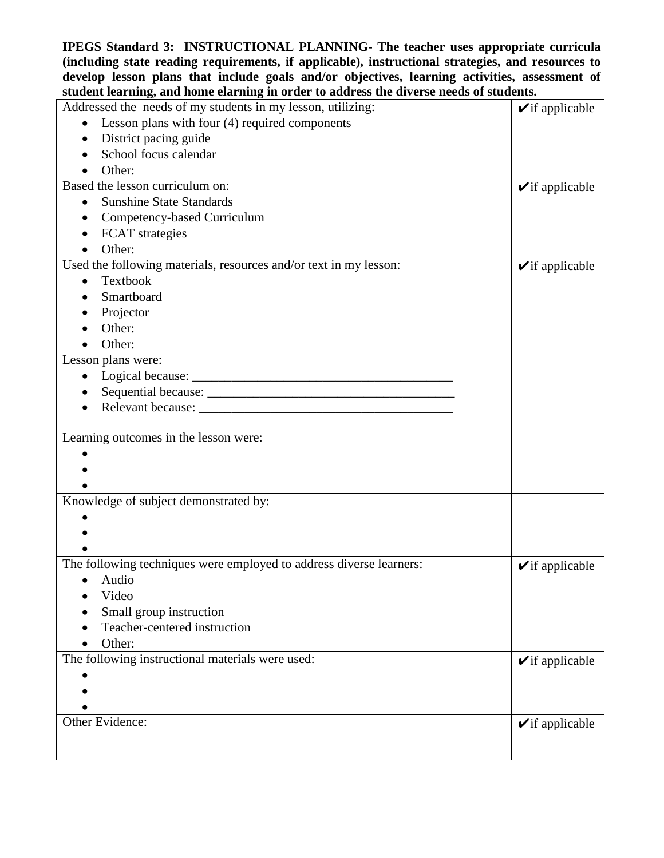**IPEGS Standard 3: INSTRUCTIONAL PLANNING- The teacher uses appropriate curricula (including state reading requirements, if applicable), instructional strategies, and resources to develop lesson plans that include goals and/or objectives, learning activities, assessment of student learning, and home elarning in order to address the diverse needs of students.**

| Addressed the needs of my students in my lesson, utilizing:         | $\blacktriangleright$ if applicable |
|---------------------------------------------------------------------|-------------------------------------|
| Lesson plans with four (4) required components                      |                                     |
| District pacing guide<br>٠                                          |                                     |
| School focus calendar                                               |                                     |
| Other:                                                              |                                     |
| Based the lesson curriculum on:                                     | $\blacktriangleright$ if applicable |
| <b>Sunshine State Standards</b><br>$\bullet$                        |                                     |
| Competency-based Curriculum<br>$\bullet$                            |                                     |
| <b>FCAT</b> strategies<br>$\bullet$                                 |                                     |
| Other:                                                              |                                     |
| Used the following materials, resources and/or text in my lesson:   | $\blacktriangleright$ if applicable |
| Textbook                                                            |                                     |
| Smartboard                                                          |                                     |
| Projector                                                           |                                     |
| Other:                                                              |                                     |
| Other:                                                              |                                     |
| Lesson plans were:                                                  |                                     |
| $\bullet$                                                           |                                     |
|                                                                     |                                     |
| ٠                                                                   |                                     |
|                                                                     |                                     |
| Learning outcomes in the lesson were:                               |                                     |
|                                                                     |                                     |
|                                                                     |                                     |
|                                                                     |                                     |
| Knowledge of subject demonstrated by:                               |                                     |
|                                                                     |                                     |
|                                                                     |                                     |
| The following techniques were employed to address diverse learners: |                                     |
|                                                                     | $\blacktriangleright$ if applicable |
| Audio<br>٠<br>Video                                                 |                                     |
|                                                                     |                                     |
| Small group instruction<br>Teacher-centered instruction             |                                     |
|                                                                     |                                     |
| Other:<br>The following instructional materials were used:          |                                     |
|                                                                     | $\blacktriangleright$ if applicable |
|                                                                     |                                     |
|                                                                     |                                     |
| Other Evidence:                                                     | $\blacktriangleright$ if applicable |
|                                                                     |                                     |
|                                                                     |                                     |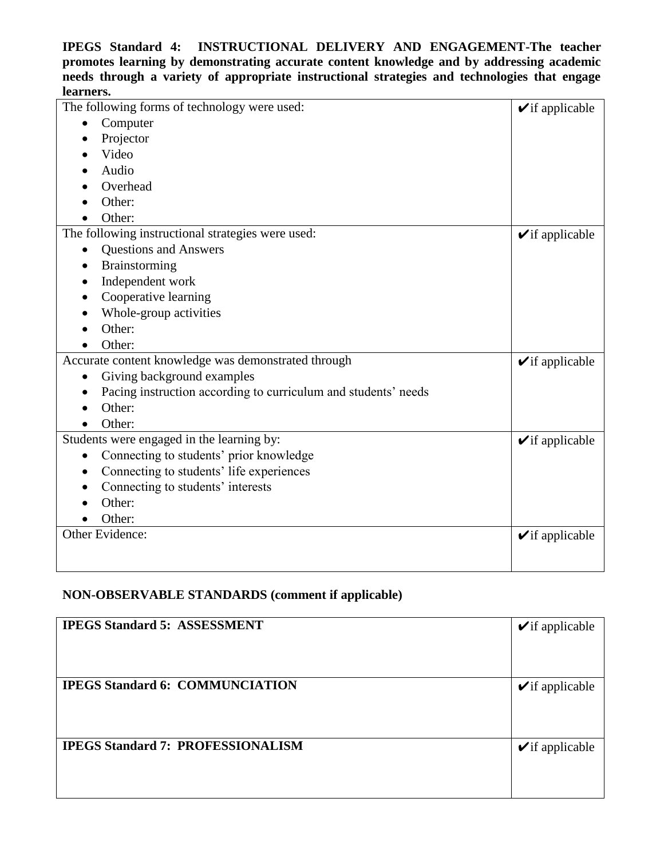#### **IPEGS Standard 4: INSTRUCTIONAL DELIVERY AND ENGAGEMENT-The teacher promotes learning by demonstrating accurate content knowledge and by addressing academic needs through a variety of appropriate instructional strategies and technologies that engage learners.**

| The following forms of technology were used:                   | $\blacktriangleright$ if applicable |
|----------------------------------------------------------------|-------------------------------------|
| Computer                                                       |                                     |
| Projector                                                      |                                     |
| Video                                                          |                                     |
| Audio                                                          |                                     |
| Overhead                                                       |                                     |
| Other:                                                         |                                     |
| Other:                                                         |                                     |
| The following instructional strategies were used:              | $\blacktriangleright$ if applicable |
| <b>Questions and Answers</b><br>$\bullet$                      |                                     |
| Brainstorming                                                  |                                     |
| Independent work                                               |                                     |
| Cooperative learning                                           |                                     |
| Whole-group activities                                         |                                     |
| Other:                                                         |                                     |
| Other:                                                         |                                     |
| Accurate content knowledge was demonstrated through            | $\checkmark$ if applicable          |
| Giving background examples<br>$\bullet$                        |                                     |
| Pacing instruction according to curriculum and students' needs |                                     |
| Other:                                                         |                                     |
| Other:                                                         |                                     |
| Students were engaged in the learning by:                      | $\blacktriangleright$ if applicable |
| Connecting to students' prior knowledge                        |                                     |
| Connecting to students' life experiences<br>$\bullet$          |                                     |
| Connecting to students' interests                              |                                     |
| Other:                                                         |                                     |
| Other:                                                         |                                     |
| Other Evidence:                                                | $\checkmark$ if applicable          |
|                                                                |                                     |
|                                                                |                                     |

# **NON-OBSERVABLE STANDARDS (comment if applicable)**

| <b>IPEGS Standard 5: ASSESSMENT</b>      | $\blacktriangleright$ if applicable |
|------------------------------------------|-------------------------------------|
| <b>IPEGS Standard 6: COMMUNCIATION</b>   | $\blacktriangleright$ if applicable |
| <b>IPEGS Standard 7: PROFESSIONALISM</b> | $\blacktriangleright$ if applicable |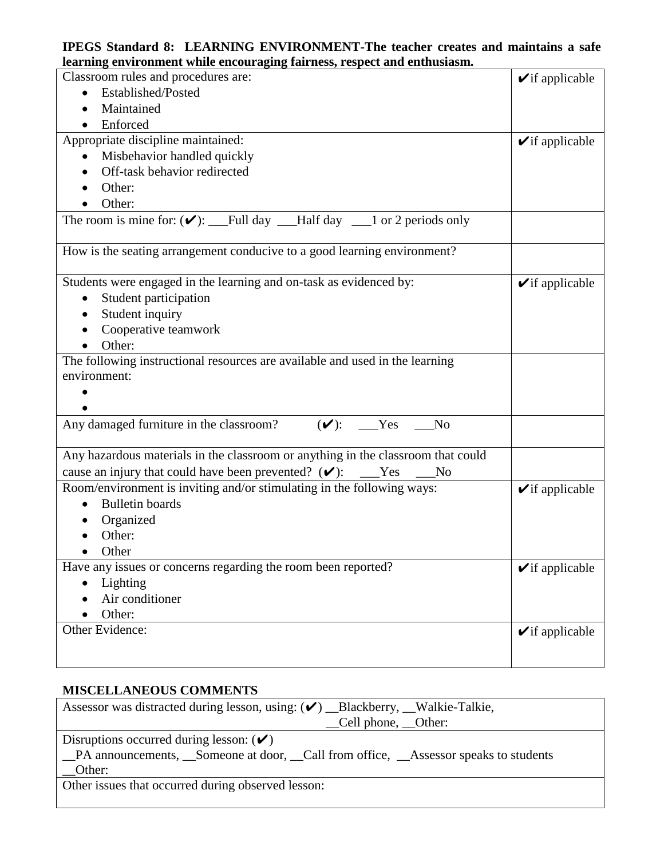#### **IPEGS Standard 8: LEARNING ENVIRONMENT-The teacher creates and maintains a safe learning environment while encouraging fairness, respect and enthusiasm.**

| rearning environment while encouraging fairness, respect and enthusiasm.         |                                     |
|----------------------------------------------------------------------------------|-------------------------------------|
| Classroom rules and procedures are:                                              | $\blacktriangleright$ if applicable |
| Established/Posted                                                               |                                     |
| Maintained                                                                       |                                     |
| Enforced                                                                         |                                     |
| Appropriate discipline maintained:                                               | $\checkmark$ if applicable          |
| Misbehavior handled quickly<br>$\bullet$                                         |                                     |
| Off-task behavior redirected                                                     |                                     |
| Other:                                                                           |                                     |
| Other:                                                                           |                                     |
| The room is mine for: $(\vee)$ : ___Full day ___Half day ___1 or 2 periods only  |                                     |
| How is the seating arrangement conducive to a good learning environment?         |                                     |
| Students were engaged in the learning and on-task as evidenced by:               | $\blacktriangleright$ if applicable |
| Student participation                                                            |                                     |
| Student inquiry                                                                  |                                     |
| Cooperative teamwork                                                             |                                     |
| Other:                                                                           |                                     |
| The following instructional resources are available and used in the learning     |                                     |
| environment:                                                                     |                                     |
| Any damaged furniture in the classroom?<br>$(\vee)$ : Yes<br>N <sub>o</sub>      |                                     |
| Any hazardous materials in the classroom or anything in the classroom that could |                                     |
| cause an injury that could have been prevented? $(\vee)$ : __Yes<br>$\sqrt{N}$   |                                     |
| Room/environment is inviting and/or stimulating in the following ways:           | $\blacktriangleright$ if applicable |
| <b>Bulletin</b> boards                                                           |                                     |
| Organized                                                                        |                                     |
| Other:                                                                           |                                     |
| Other                                                                            |                                     |
| Have any issues or concerns regarding the room been reported?                    | $\blacktriangleright$ if applicable |
| Lighting                                                                         |                                     |
| Air conditioner                                                                  |                                     |
| Other:                                                                           |                                     |
| Other Evidence:                                                                  | $\blacktriangleright$ if applicable |
|                                                                                  |                                     |
|                                                                                  |                                     |

## **MISCELLANEOUS COMMENTS**

| Assessor was distracted during lesson, using: $(\vee)$ _Blackberry, _Walkie-Talkie,  |
|--------------------------------------------------------------------------------------|
| _Cell phone, __Other:                                                                |
| Disruptions occurred during lesson: $(\checkmark)$                                   |
| _PA announcements, _Someone at door, _Call from office, _Assessor speaks to students |
| Other:                                                                               |
| Other issues that occurred during observed lesson:                                   |
|                                                                                      |